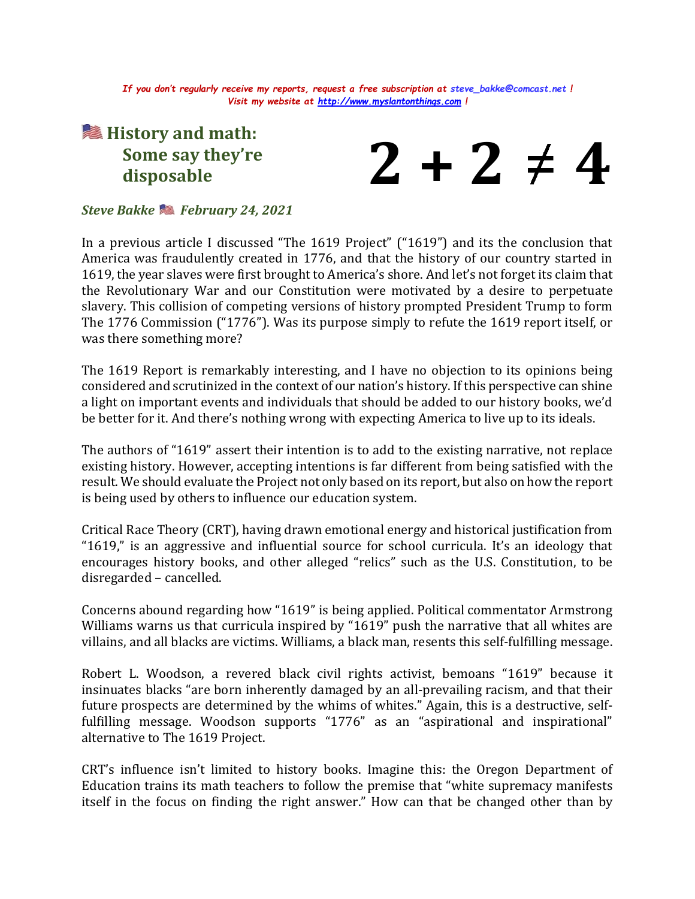*If you don't regularly receive my reports, request a free subscription at [steve\\_bakke@comcast.net](mailto:steve_bakke@comcast.net) ! Visit my website at [http://www.myslantonthings.com](http://www.myslantonthings.com/) !*

## **History and math: Some say they're disposable**



## *Steve Bakke February 24, 2021*

In a previous article I discussed "The 1619 Project" ("1619") and its the conclusion that America was fraudulently created in 1776, and that the history of our country started in 1619, the year slaves were first brought to America's shore. And let's not forget its claim that the Revolutionary War and our Constitution were motivated by a desire to perpetuate slavery. This collision of competing versions of history prompted President Trump to form The 1776 Commission ("1776"). Was its purpose simply to refute the 1619 report itself, or was there something more?

The 1619 Report is remarkably interesting, and I have no objection to its opinions being considered and scrutinized in the context of our nation's history. If this perspective can shine a light on important events and individuals that should be added to our history books, we'd be better for it. And there's nothing wrong with expecting America to live up to its ideals.

The authors of "1619" assert their intention is to add to the existing narrative, not replace existing history. However, accepting intentions is far different from being satisfied with the result. We should evaluate the Project not only based on its report, but also on how the report is being used by others to influence our education system.

Critical Race Theory (CRT), having drawn emotional energy and historical justification from "1619," is an aggressive and influential source for school curricula. It's an ideology that encourages history books, and other alleged "relics" such as the U.S. Constitution, to be disregarded – cancelled.

Concerns abound regarding how "1619" is being applied. Political commentator Armstrong Williams warns us that curricula inspired by "1619" push the narrative that all whites are villains, and all blacks are victims. Williams, a black man, resents this self-fulfilling message.

Robert L. Woodson, a revered black civil rights activist, bemoans "1619" because it insinuates blacks "are born inherently damaged by an all-prevailing racism, and that their future prospects are determined by the whims of whites." Again, this is a destructive, selffulfilling message. Woodson supports "1776" as an "aspirational and inspirational" alternative to The 1619 Project.

CRT's influence isn't limited to history books. Imagine this: the Oregon Department of Education trains its math teachers to follow the premise that "white supremacy manifests itself in the focus on finding the right answer." How can that be changed other than by